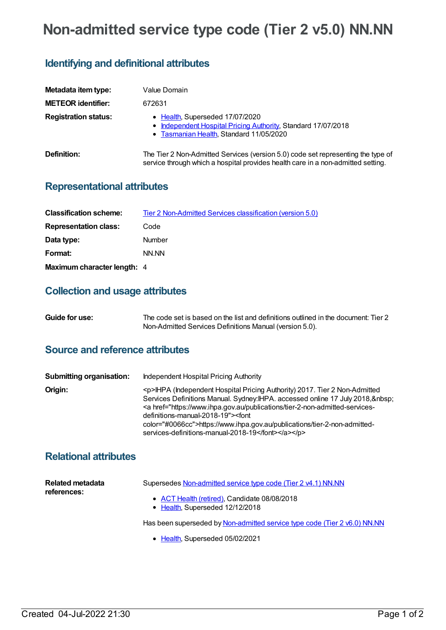# **Non-admitted service type code (Tier 2 v5.0) NN.NN**

## **Identifying and definitional attributes**

| Metadata item type:         | Value Domain                                                                                                                                                         |
|-----------------------------|----------------------------------------------------------------------------------------------------------------------------------------------------------------------|
| <b>METEOR identifier:</b>   | 672631                                                                                                                                                               |
| <b>Registration status:</b> | • Health, Superseded 17/07/2020<br>• Independent Hospital Pricing Authority, Standard 17/07/2018<br>• Tasmanian Health, Standard 11/05/2020                          |
| Definition:                 | The Tier 2 Non-Admitted Services (version 5.0) code set representing the type of<br>service through which a hospital provides health care in a non-admitted setting. |

#### **Representational attributes**

| <b>Classification scheme:</b> | Tier 2 Non-Admitted Services classification (version 5.0) |
|-------------------------------|-----------------------------------------------------------|
| <b>Representation class:</b>  | Code                                                      |
| Data type:                    | <b>Number</b>                                             |
| Format:                       | NN NN                                                     |
| Maximum character length: 4   |                                                           |

## **Collection and usage attributes**

| Guide for use: | The code set is based on the list and definitions outlined in the document: Tier 2 |
|----------------|------------------------------------------------------------------------------------|
|                | Non-Admitted Services Definitions Manual (version 5.0).                            |

#### **Source and reference attributes**

| <b>Submitting organisation:</b> | Independent Hospital Pricing Authority                                                                                                                                                                                                                                                                                                                                                                                                       |
|---------------------------------|----------------------------------------------------------------------------------------------------------------------------------------------------------------------------------------------------------------------------------------------------------------------------------------------------------------------------------------------------------------------------------------------------------------------------------------------|
| Origin:                         | <p>IHPA (Independent Hospital Pricing Authority) 2017. Tier 2 Non-Admitted<br/>Services Definitions Manual. Sydney: IHPA. accessed online 17 July 2018, &amp; nbsp;<br/><a href="https://www.ihpa.gov.au/publications/tier-2-non-admitted-services-&lt;br&gt;definitions-manual-2018-19"><font<br>color="#0066cc"&gt;https://www.ihpa.gov.au/publications/tier-2-non-admitted-<br/>services-definitions-manual-2018-19</font<br></a>&gt;</p> |

### **Relational attributes**

| <b>Related metadata</b><br>references: | Supersedes Non-admitted service type code (Tier 2 v4.1) NN.NN                   |
|----------------------------------------|---------------------------------------------------------------------------------|
|                                        | • ACT Health (retired), Candidate 08/08/2018<br>• Health, Superseded 12/12/2018 |
|                                        | Has been superseded by Non-admitted service type code (Tier 2 v6.0) NN.NN       |

• [Health](https://meteor.aihw.gov.au/RegistrationAuthority/12), Superseded 05/02/2021